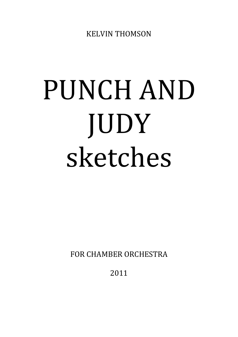**KELVIN THOMSON** 

## PUNCH AND JUDY sketches

FOR CHAMBER ORCHESTRA

2011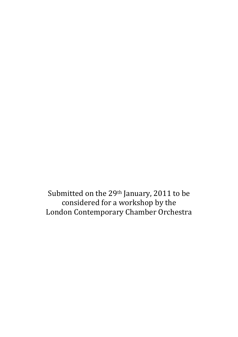Submitted on the 29<sup>th</sup> January, 2011 to be considered for a workshop by the London Contemporary Chamber Orchestra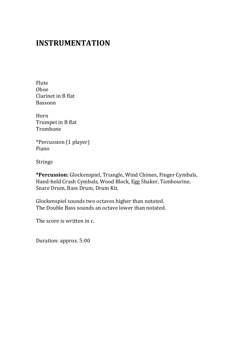## **INSTRUMENTATION**

Flute Oboe Clarinet in B flat **Bassoon** 

Horn Trumpet in B flat Trombone

\*Percussion (1 player) Piano

**Strings** 

\*Percussion: Glockenspiel, Triangle, Wind Chimes, Finger Cymbals, Hand-held Crash Cymbals, Wood Block, Egg Shaker, Tambourine, Snare Drum, Bass Drum, Drum Kit.

Glockenspiel sounds two octaves higher than notated. The Double Bass sounds an octave lower than notated.

The score is written in c.

Duration: approx. 5:00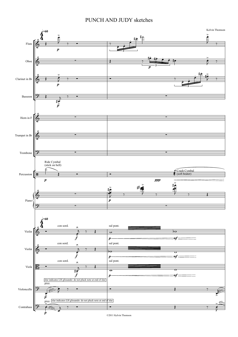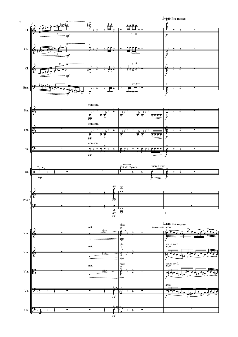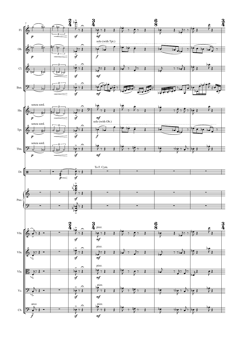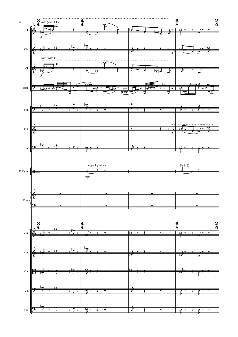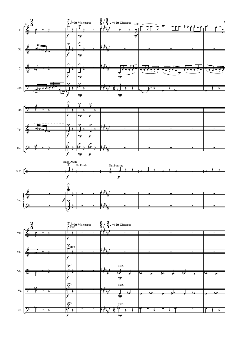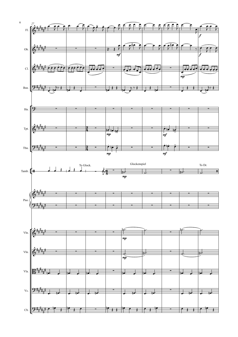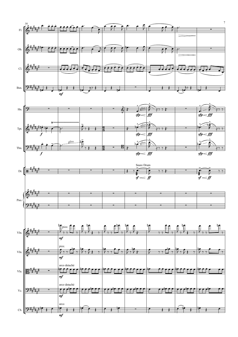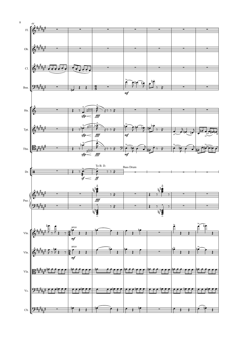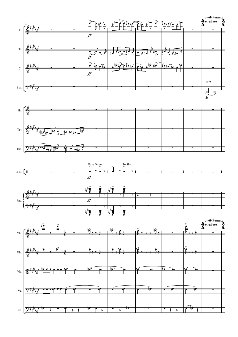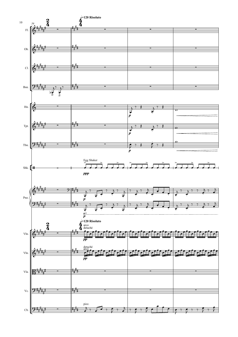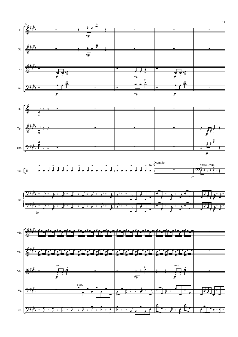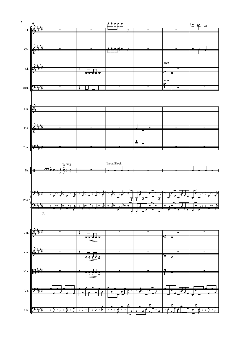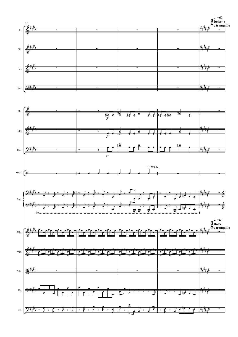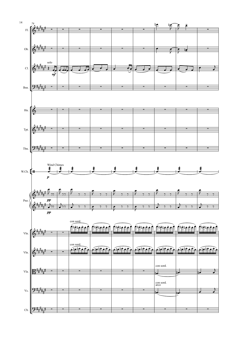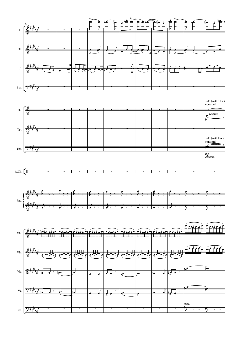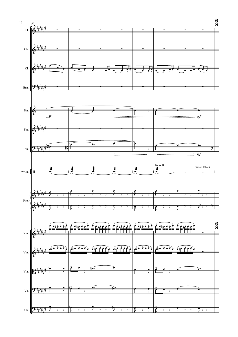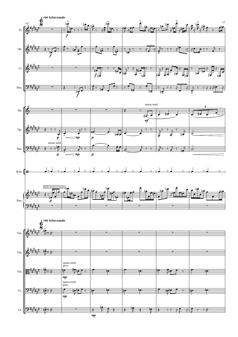

 $\mathbf{m}$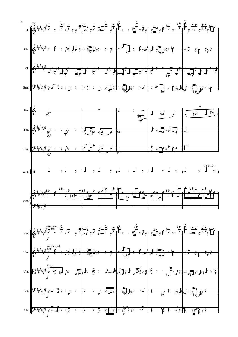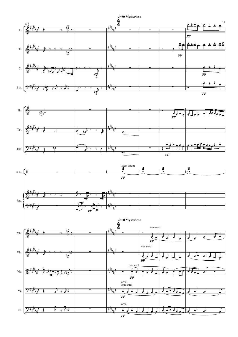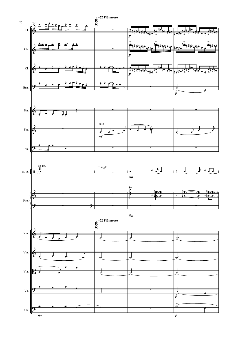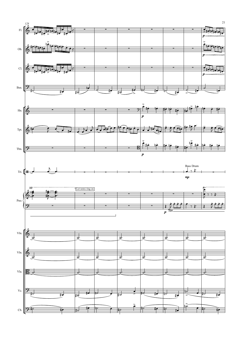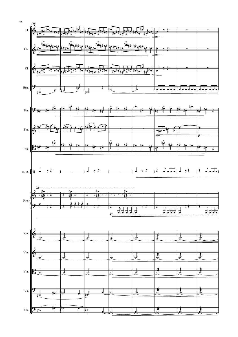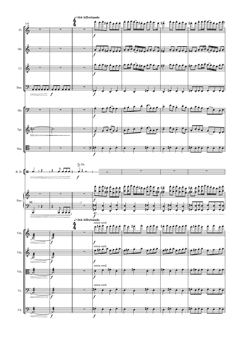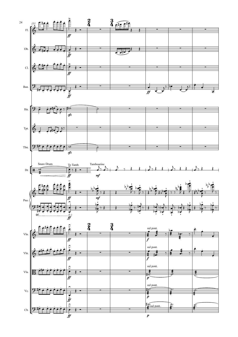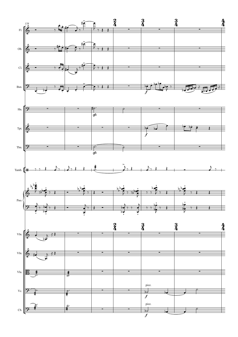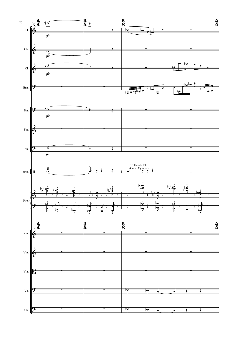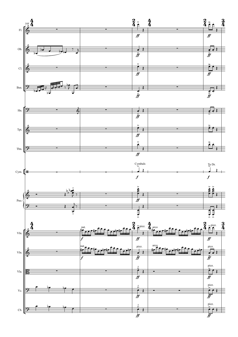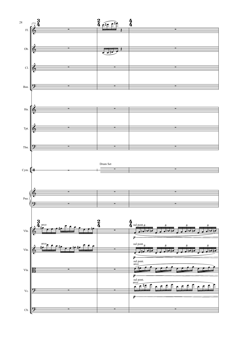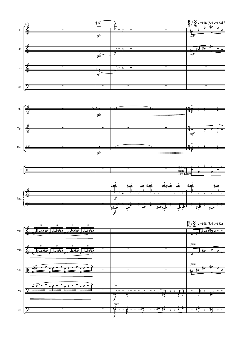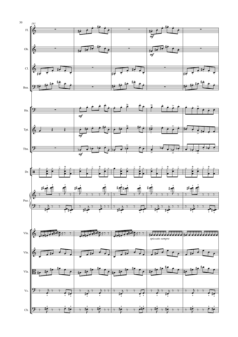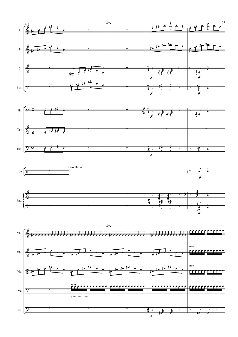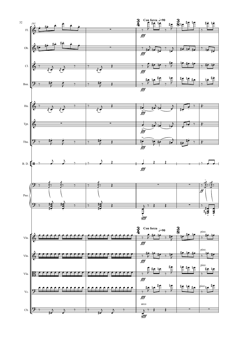